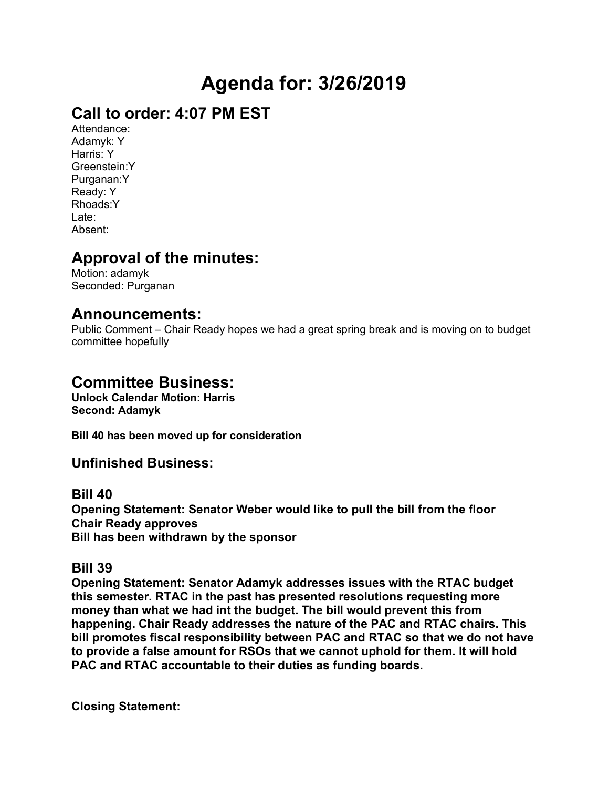# **Agenda for: 3/26/2019**

# **Call to order: 4:07 PM EST**

Attendance: Adamyk: Y Harris: Y Greenstein:Y Purganan:Y Ready: Y Rhoads:Y Late: Absent:

# **Approval of the minutes:**

Motion: adamyk Seconded: Purganan

# **Announcements:**

Public Comment – Chair Ready hopes we had a great spring break and is moving on to budget committee hopefully

# **Committee Business:**

**Unlock Calendar Motion: Harris Second: Adamyk**

**Bill 40 has been moved up for consideration**

## **Unfinished Business:**

### **Bill 40**

**Opening Statement: Senator Weber would like to pull the bill from the floor Chair Ready approves Bill has been withdrawn by the sponsor**

### **Bill 39**

**Opening Statement: Senator Adamyk addresses issues with the RTAC budget this semester. RTAC in the past has presented resolutions requesting more money than what we had int the budget. The bill would prevent this from happening. Chair Ready addresses the nature of the PAC and RTAC chairs. This bill promotes fiscal responsibility between PAC and RTAC so that we do not have to provide a false amount for RSOs that we cannot uphold for them. It will hold PAC and RTAC accountable to their duties as funding boards.** 

**Closing Statement:**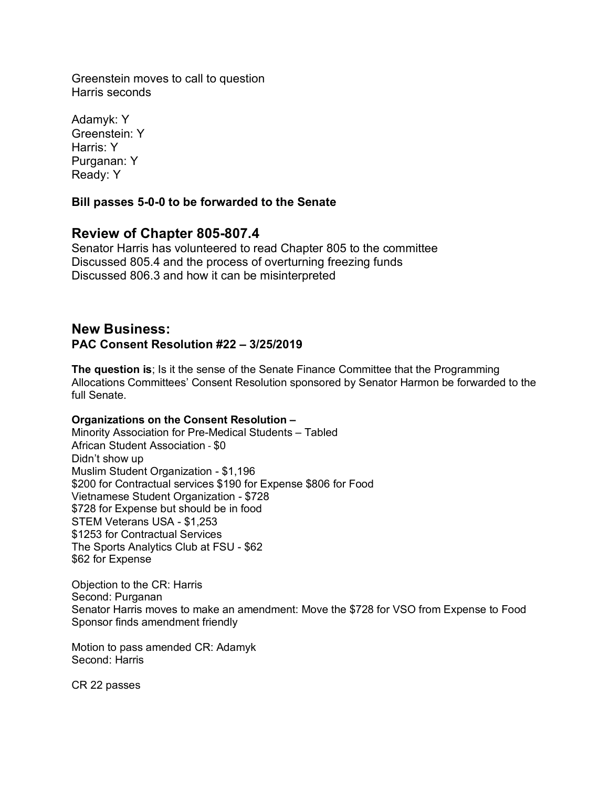Greenstein moves to call to question Harris seconds

Adamyk: Y Greenstein: Y Harris: Y Purganan: Y Ready: Y

#### **Bill passes 5-0-0 to be forwarded to the Senate**

### **Review of Chapter 805-807.4**

Senator Harris has volunteered to read Chapter 805 to the committee Discussed 805.4 and the process of overturning freezing funds Discussed 806.3 and how it can be misinterpreted

### **New Business: PAC Consent Resolution #22 – 3/25/2019**

**The question is**; Is it the sense of the Senate Finance Committee that the Programming Allocations Committees' Consent Resolution sponsored by Senator Harmon be forwarded to the full Senate.

#### **Organizations on the Consent Resolution –**

Minority Association for Pre-Medical Students – Tabled African Student Association - \$0 Didn't show up Muslim Student Organization - \$1,196 \$200 for Contractual services \$190 for Expense \$806 for Food Vietnamese Student Organization - \$728 \$728 for Expense but should be in food STEM Veterans USA - \$1,253 \$1253 for Contractual Services The Sports Analytics Club at FSU - \$62 \$62 for Expense

Objection to the CR: Harris Second: Purganan Senator Harris moves to make an amendment: Move the \$728 for VSO from Expense to Food Sponsor finds amendment friendly

Motion to pass amended CR: Adamyk Second: Harris

CR 22 passes